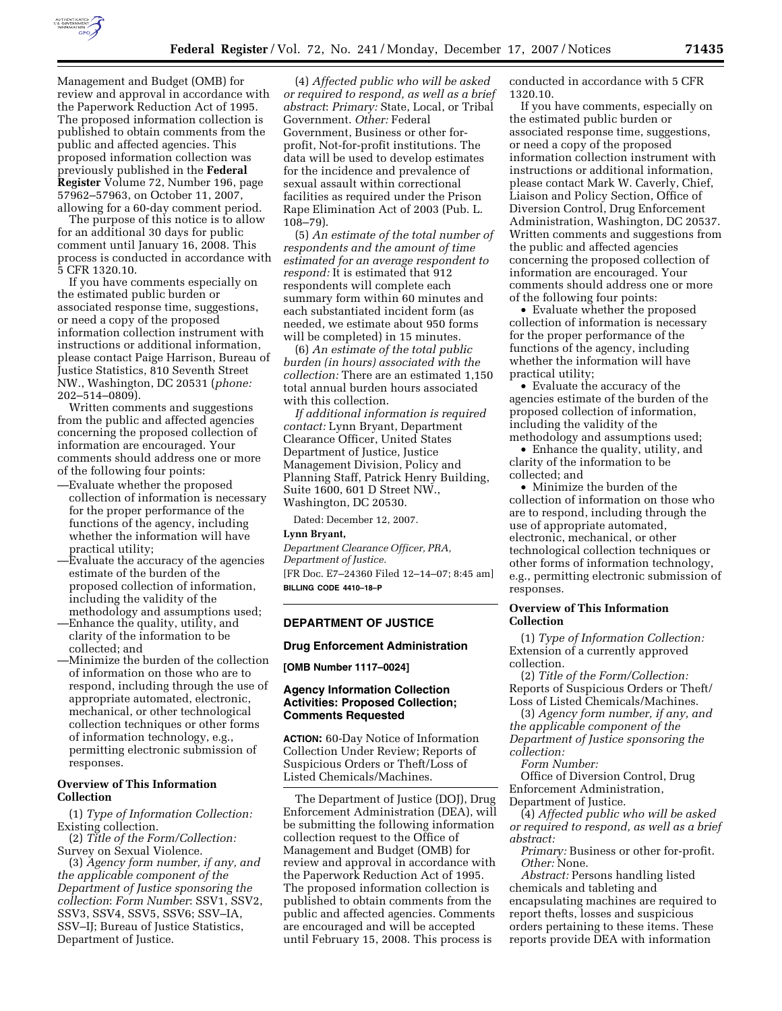

Management and Budget (OMB) for review and approval in accordance with the Paperwork Reduction Act of 1995. The proposed information collection is published to obtain comments from the public and affected agencies. This proposed information collection was previously published in the **Federal Register** Volume 72, Number 196, page 57962–57963, on October 11, 2007, allowing for a 60-day comment period.

The purpose of this notice is to allow for an additional 30 days for public comment until January 16, 2008. This process is conducted in accordance with 5 CFR 1320.10.

If you have comments especially on the estimated public burden or associated response time, suggestions, or need a copy of the proposed information collection instrument with instructions or additional information, please contact Paige Harrison, Bureau of Justice Statistics, 810 Seventh Street NW., Washington, DC 20531 (*phone:*  202–514–0809).

Written comments and suggestions from the public and affected agencies concerning the proposed collection of information are encouraged. Your comments should address one or more of the following four points:

- —Evaluate whether the proposed collection of information is necessary for the proper performance of the functions of the agency, including whether the information will have practical utility;
- —Evaluate the accuracy of the agencies estimate of the burden of the proposed collection of information, including the validity of the
- methodology and assumptions used; —Enhance the quality, utility, and clarity of the information to be collected; and
- —Minimize the burden of the collection of information on those who are to respond, including through the use of appropriate automated, electronic, mechanical, or other technological collection techniques or other forms of information technology, e.g., permitting electronic submission of responses.

## **Overview of This Information Collection**

(1) *Type of Information Collection:*  Existing collection.

(2) *Title of the Form/Collection:*  Survey on Sexual Violence.

(3) *Agency form number, if any, and the applicable component of the Department of Justice sponsoring the collection*: *Form Number*: SSV1, SSV2, SSV3, SSV4, SSV5, SSV6; SSV–IA, SSV–IJ; Bureau of Justice Statistics, Department of Justice.

(4) *Affected public who will be asked or required to respond, as well as a brief abstract*: *Primary:* State, Local, or Tribal Government. *Other:* Federal Government, Business or other forprofit, Not-for-profit institutions. The data will be used to develop estimates for the incidence and prevalence of sexual assault within correctional facilities as required under the Prison Rape Elimination Act of 2003 (Pub. L. 108–79).

(5) *An estimate of the total number of respondents and the amount of time estimated for an average respondent to respond:* It is estimated that 912 respondents will complete each summary form within 60 minutes and each substantiated incident form (as needed, we estimate about 950 forms will be completed) in 15 minutes.

(6) *An estimate of the total public burden (in hours) associated with the collection:* There are an estimated 1,150 total annual burden hours associated with this collection.

*If additional information is required contact:* Lynn Bryant, Department Clearance Officer, United States Department of Justice, Justice Management Division, Policy and Planning Staff, Patrick Henry Building, Suite 1600, 601 D Street NW., Washington, DC 20530.

Dated: December 12, 2007.

### **Lynn Bryant,**

*Department Clearance Officer, PRA, Department of Justice.*  [FR Doc. E7–24360 Filed 12–14–07; 8:45 am] **BILLING CODE 4410–18–P** 

### **DEPARTMENT OF JUSTICE**

### **Drug Enforcement Administration**

**[OMB Number 1117–0024]** 

## **Agency Information Collection Activities: Proposed Collection; Comments Requested**

**ACTION:** 60-Day Notice of Information Collection Under Review; Reports of Suspicious Orders or Theft/Loss of Listed Chemicals/Machines.

The Department of Justice (DOJ), Drug Enforcement Administration (DEA), will be submitting the following information collection request to the Office of Management and Budget (OMB) for review and approval in accordance with the Paperwork Reduction Act of 1995. The proposed information collection is published to obtain comments from the public and affected agencies. Comments are encouraged and will be accepted until February 15, 2008. This process is

conducted in accordance with 5 CFR 1320.10.

If you have comments, especially on the estimated public burden or associated response time, suggestions, or need a copy of the proposed information collection instrument with instructions or additional information, please contact Mark W. Caverly, Chief, Liaison and Policy Section, Office of Diversion Control, Drug Enforcement Administration, Washington, DC 20537. Written comments and suggestions from the public and affected agencies concerning the proposed collection of information are encouraged. Your comments should address one or more of the following four points:

• Evaluate whether the proposed collection of information is necessary for the proper performance of the functions of the agency, including whether the information will have practical utility;

• Evaluate the accuracy of the agencies estimate of the burden of the proposed collection of information, including the validity of the methodology and assumptions used;

• Enhance the quality, utility, and clarity of the information to be collected; and

• Minimize the burden of the collection of information on those who are to respond, including through the use of appropriate automated, electronic, mechanical, or other technological collection techniques or other forms of information technology, e.g., permitting electronic submission of responses.

# **Overview of This Information Collection**

(1) *Type of Information Collection:*  Extension of a currently approved collection.

(2) *Title of the Form/Collection:*  Reports of Suspicious Orders or Theft/ Loss of Listed Chemicals/Machines.

(3) *Agency form number, if any, and the applicable component of the Department of Justice sponsoring the collection:* 

*Form Number:* 

Office of Diversion Control, Drug Enforcement Administration, Department of Justice.

(4) *Affected public who will be asked or required to respond, as well as a brief* 

*abstract: Primary:* Business or other for-profit. *Other:* None.

*Abstract:* Persons handling listed chemicals and tableting and encapsulating machines are required to report thefts, losses and suspicious orders pertaining to these items. These reports provide DEA with information